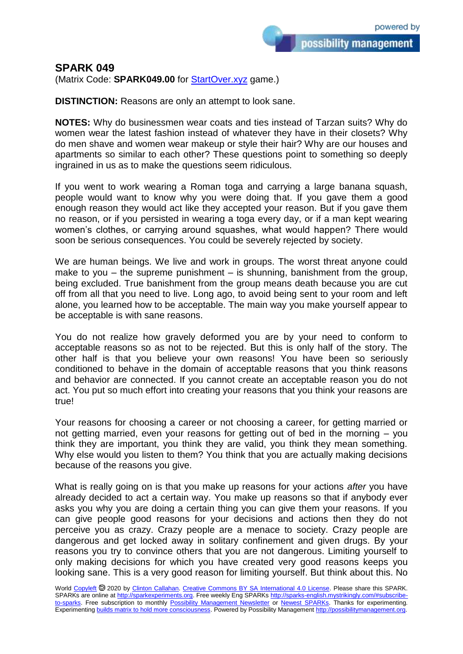## **SPARK 049**

(Matrix Code: **SPARK049.00** for **StartOver.xyz** game.)

**DISTINCTION:** Reasons are only an attempt to look sane.

**NOTES:** Why do businessmen wear coats and ties instead of Tarzan suits? Why do women wear the latest fashion instead of whatever they have in their closets? Why do men shave and women wear makeup or style their hair? Why are our houses and apartments so similar to each other? These questions point to something so deeply ingrained in us as to make the questions seem ridiculous.

If you went to work wearing a Roman toga and carrying a large banana squash, people would want to know why you were doing that. If you gave them a good enough reason they would act like they accepted your reason. But if you gave them no reason, or if you persisted in wearing a toga every day, or if a man kept wearing women's clothes, or carrying around squashes, what would happen? There would soon be serious consequences. You could be severely rejected by society.

We are human beings. We live and work in groups. The worst threat anyone could make to you – the supreme punishment – is shunning, banishment from the group, being excluded. True banishment from the group means death because you are cut off from all that you need to live. Long ago, to avoid being sent to your room and left alone, you learned how to be acceptable. The main way you make yourself appear to be acceptable is with sane reasons.

You do not realize how gravely deformed you are by your need to conform to acceptable reasons so as not to be rejected. But this is only half of the story. The other half is that you believe your own reasons! You have been so seriously conditioned to behave in the domain of acceptable reasons that you think reasons and behavior are connected. If you cannot create an acceptable reason you do not act. You put so much effort into creating your reasons that you think your reasons are true!

Your reasons for choosing a career or not choosing a career, for getting married or not getting married, even your reasons for getting out of bed in the morning – you think they are important, you think they are valid, you think they mean something. Why else would you listen to them? You think that you are actually making decisions because of the reasons you give.

What is really going on is that you make up reasons for your actions *after* you have already decided to act a certain way. You make up reasons so that if anybody ever asks you why you are doing a certain thing you can give them your reasons. If you can give people good reasons for your decisions and actions then they do not perceive you as crazy. Crazy people are a menace to society. Crazy people are dangerous and get locked away in solitary confinement and given drugs. By your reasons you try to convince others that you are not dangerous. Limiting yourself to only making decisions for which you have created very good reasons keeps you looking sane. This is a very good reason for limiting yourself. But think about this. No